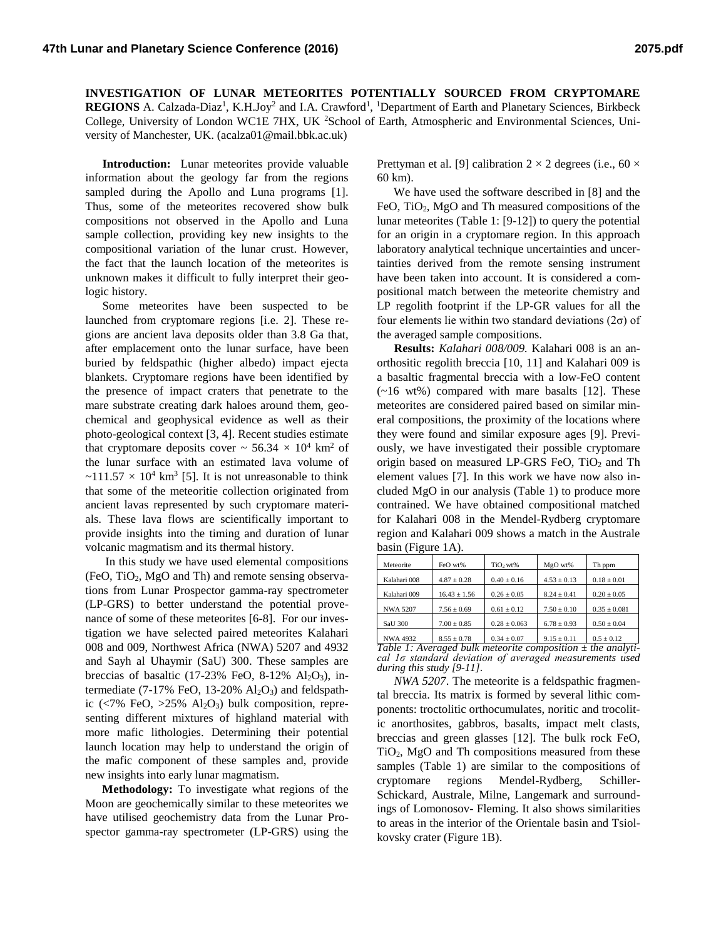**INVESTIGATION OF LUNAR METEORITES POTENTIALLY SOURCED FROM CRYPTOMARE REGIONS** A. Calzada-Diaz<sup>1</sup>, K.H.Joy<sup>2</sup> and I.A. Crawford<sup>1</sup>, <sup>1</sup>Department of Earth and Planetary Sciences, Birkbeck College, University of London WC1E 7HX, UK <sup>2</sup>School of Earth, Atmospheric and Environmental Sciences, University of Manchester, UK. (acalza01@mail.bbk.ac.uk)

**Introduction:** Lunar meteorites provide valuable information about the geology far from the regions sampled during the Apollo and Luna programs [1]. Thus, some of the meteorites recovered show bulk compositions not observed in the Apollo and Luna sample collection, providing key new insights to the compositional variation of the lunar crust. However, the fact that the launch location of the meteorites is unknown makes it difficult to fully interpret their geologic history.

Some meteorites have been suspected to be launched from cryptomare regions [i.e. 2]. These regions are ancient lava deposits older than 3.8 Ga that, after emplacement onto the lunar surface, have been buried by feldspathic (higher albedo) impact ejecta blankets. Cryptomare regions have been identified by the presence of impact craters that penetrate to the mare substrate creating dark haloes around them, geochemical and geophysical evidence as well as their photo-geological context [3, 4]. Recent studies estimate that cryptomare deposits cover  $\sim$  56.34  $\times$  10<sup>4</sup> km<sup>2</sup> of the lunar surface with an estimated lava volume of  $\sim$ 111.57  $\times$  10<sup>4</sup> km<sup>3</sup> [5]. It is not unreasonable to think that some of the meteoritie collection originated from ancient lavas represented by such cryptomare materials. These lava flows are scientifically important to provide insights into the timing and duration of lunar volcanic magmatism and its thermal history.

In this study we have used elemental compositions  $(FeO, TiO<sub>2</sub>, MgO and Th)$  and remote sensing observations from Lunar Prospector gamma-ray spectrometer (LP-GRS) to better understand the potential provenance of some of these meteorites [6-8]. For our investigation we have selected paired meteorites Kalahari 008 and 009, Northwest Africa (NWA) 5207 and 4932 and Sayh al Uhaymir (SaU) 300. These samples are breccias of basaltic (17-23% FeO, 8-12% Al<sub>2</sub>O<sub>3</sub>), intermediate (7-17% FeO, 13-20%  $Al_2O_3$ ) and feldspathic ( $\langle 7\%$  FeO,  $>25\%$  Al<sub>2</sub>O<sub>3</sub>) bulk composition, representing different mixtures of highland material with more mafic lithologies. Determining their potential launch location may help to understand the origin of the mafic component of these samples and, provide new insights into early lunar magmatism.

**Methodology:** To investigate what regions of the Moon are geochemically similar to these meteorites we have utilised geochemistry data from the Lunar Prospector gamma-ray spectrometer (LP-GRS) using the Prettyman et al. [9] calibration  $2 \times 2$  degrees (i.e., 60  $\times$ 60 km).

We have used the software described in [8] and the FeO, TiO2, MgO and Th measured compositions of the lunar meteorites (Table 1: [9-12]) to query the potential for an origin in a cryptomare region. In this approach laboratory analytical technique uncertainties and uncertainties derived from the remote sensing instrument have been taken into account. It is considered a compositional match between the meteorite chemistry and LP regolith footprint if the LP-GR values for all the four elements lie within two standard deviations  $(2\sigma)$  of the averaged sample compositions.

**Results:** *Kalahari 008/009.* Kalahari 008 is an anorthositic regolith breccia [10, 11] and Kalahari 009 is a basaltic fragmental breccia with a low-FeO content (~16 wt%) compared with mare basalts [12]. These meteorites are considered paired based on similar mineral compositions, the proximity of the locations where they were found and similar exposure ages [9]. Previously, we have investigated their possible cryptomare origin based on measured LP-GRS FeO,  $TiO<sub>2</sub>$  and Th element values [7]. In this work we have now also included MgO in our analysis (Table 1) to produce more contrained. We have obtained compositional matched for Kalahari 008 in the Mendel-Rydberg cryptomare region and Kalahari 009 shows a match in the Australe basin (Figure 1A).

| Meteorite       | FeO wt%          | TiO <sub>2</sub> wt% | MgO wt%         | Th ppm           |
|-----------------|------------------|----------------------|-----------------|------------------|
| Kalahari 008    | $4.87 \pm 0.28$  | $0.40 \pm 0.16$      | $4.53 \pm 0.13$ | $0.18 \pm 0.01$  |
| Kalahari 009    | $16.43 \pm 1.56$ | $0.26 \pm 0.05$      | $8.24 \pm 0.41$ | $0.20 \pm 0.05$  |
| <b>NWA 5207</b> | $7.56 \pm 0.69$  | $0.61 \pm 0.12$      | $7.50 \pm 0.10$ | $0.35 \pm 0.081$ |
| SaU 300         | $7.00 \pm 0.85$  | $0.28 \pm 0.063$     | $6.78 \pm 0.93$ | $0.50 \pm 0.04$  |
| <b>NWA 4932</b> | $8.55 \pm 0.78$  | $0.34 \pm 0.07$      | $9.15 \pm 0.11$ | $0.5 \pm 0.12$   |

*Table 1: Averaged bulk meteorite composition ± the analytical 1σ standard deviation of averaged measurements used during this study [9-11].*

*NWA 5207*. The meteorite is a feldspathic fragmental breccia. Its matrix is formed by several lithic components: troctolitic orthocumulates, noritic and trocolitic anorthosites, gabbros, basalts, impact melt clasts, breccias and green glasses [12]. The bulk rock FeO,  $TiO<sub>2</sub>$ , MgO and Th compositions measured from these samples (Table 1) are similar to the compositions of cryptomare regions Mendel-Rydberg, Schiller-Schickard, Australe, Milne, Langemark and surroundings of Lomonosov- Fleming. It also shows similarities to areas in the interior of the Orientale basin and Tsiolkovsky crater (Figure 1B).